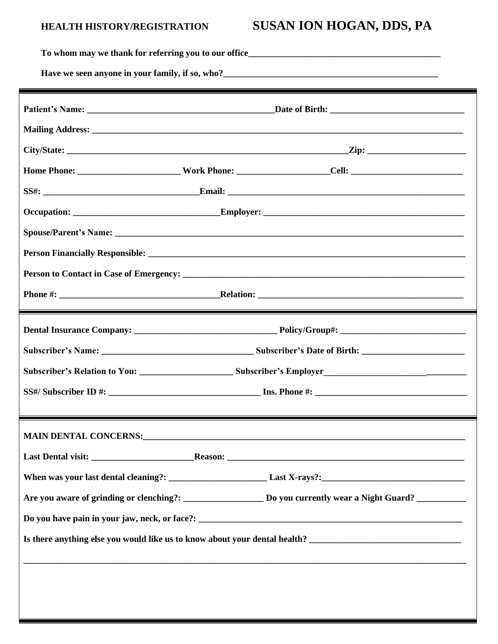## HEALTH HISTORY/REGISTRATION

## SUSAN ION HOGAN, DDS, PA

| Have we seen anyone in your family, if so, who?<br><u>Lave we seen anyone in your family, if so, who?</u> |                                                                                                                |  |
|-----------------------------------------------------------------------------------------------------------|----------------------------------------------------------------------------------------------------------------|--|
|                                                                                                           |                                                                                                                |  |
|                                                                                                           |                                                                                                                |  |
|                                                                                                           |                                                                                                                |  |
|                                                                                                           |                                                                                                                |  |
|                                                                                                           |                                                                                                                |  |
|                                                                                                           |                                                                                                                |  |
|                                                                                                           |                                                                                                                |  |
|                                                                                                           |                                                                                                                |  |
|                                                                                                           |                                                                                                                |  |
|                                                                                                           |                                                                                                                |  |
|                                                                                                           |                                                                                                                |  |
|                                                                                                           |                                                                                                                |  |
|                                                                                                           |                                                                                                                |  |
|                                                                                                           |                                                                                                                |  |
|                                                                                                           |                                                                                                                |  |
|                                                                                                           |                                                                                                                |  |
|                                                                                                           |                                                                                                                |  |
|                                                                                                           |                                                                                                                |  |
|                                                                                                           |                                                                                                                |  |
|                                                                                                           |                                                                                                                |  |
|                                                                                                           | Are you aware of grinding or clenching?: ______________________ Do you currently wear a Night Guard? _________ |  |
|                                                                                                           |                                                                                                                |  |
|                                                                                                           | Is there anything else you would like us to know about your dental health? ___________________________________ |  |
|                                                                                                           |                                                                                                                |  |
|                                                                                                           |                                                                                                                |  |